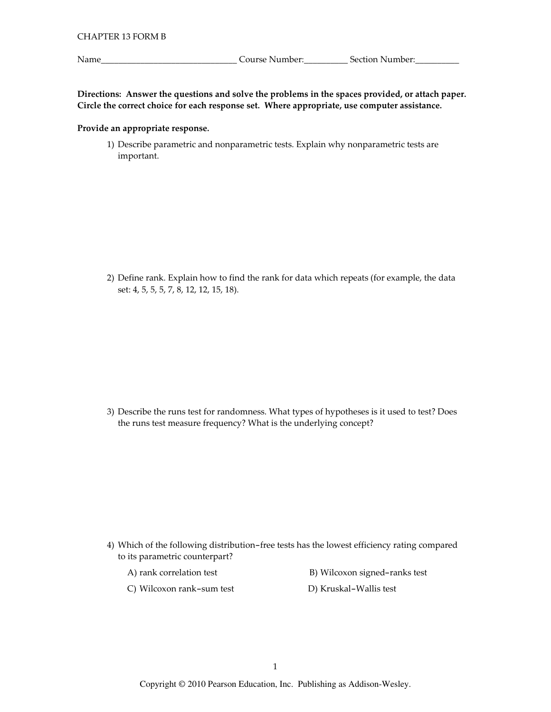Name\_

Directions: Answer the questions and solve the problems in the spaces provided, or attach paper. Circle the correct choice for each response set. Where appropriate, use computer assistance.

## Provide an appropriate response.

1) Describe parametric and nonparametric tests. Explain why nonparametric tests are important.

2) Define rank. Explain how to find the rank for data which repeats (for example, the data set: 4, 5, 5, 5, 7, 8, 12, 12, 15, 18).

3) Describe the runs test for randomness. What types of hypotheses is it used to test? Does the runs test measure frequency? What is the underlying concept?

- 4) Which of the following distribution-free tests has the lowest efficiency rating compared to its parametric counterpart?
	- A) rank correlation test
- B) Wilcoxon signed-ranks test
- C) Wilcoxon rank-sum test
- D) Kruskal-Wallis test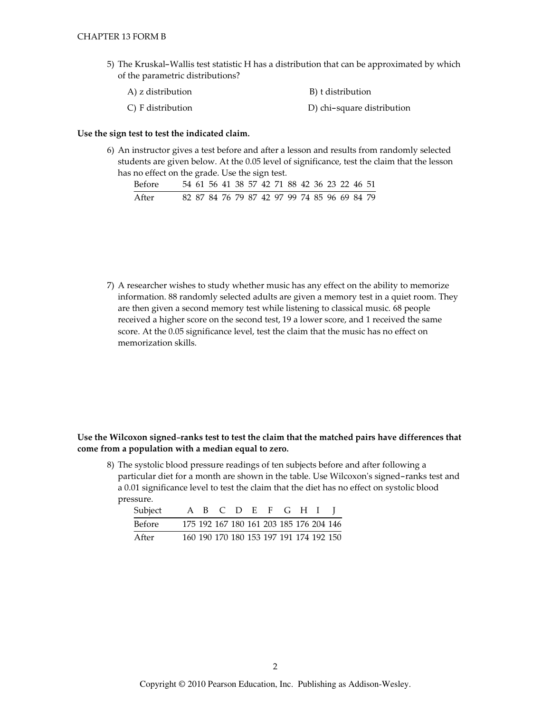5) The Kruskal-Wallis test statistic H has a distribution that can be approximated by which of the parametric distributions?

| A) z distribution | B) t distribution          |  |  |  |  |
|-------------------|----------------------------|--|--|--|--|
| C) F distribution | D) chi-square distribution |  |  |  |  |

## Use the sign test to test the indicated claim.

6) An instructor gives a test before and after a lesson and results from randomly selected students are given below. At the 0.05 level of significance, test the claim that the lesson has no effect on the grade. Use the sign test.

| Before |  |  |  |  | 54 61 56 41 38 57 42 71 88 42 36 23 22 46 51 |  |  |  |
|--------|--|--|--|--|----------------------------------------------|--|--|--|
| After  |  |  |  |  | 82 87 84 76 79 87 42 97 99 74 85 96 69 84 79 |  |  |  |

7) A researcher wishes to study whether music has any effect on the ability to memorize information. 88 randomly selected adults are given a memory test in a quiet room. They are then given a second memory test while listening to classical music. 68 people received a higher score on the second test, 19 a lower score, and 1 received the same score. At the 0.05 significance level, test the claim that the music has no effect on memorization skills.

# Use the Wilcoxon signed-ranks test to test the claim that the matched pairs have differences that come from a population with a median equal to zero.

8) The systolic blood pressure readings of ten subjects before and after following a particular diet for a month are shown in the table. Use Wilcoxon's signed-ranks test and a 0.01 significance level to test the claim that the diet has no effect on systolic blood pressure.

| Subject |  |  |  | A B C D E F G H I                       |  |
|---------|--|--|--|-----------------------------------------|--|
| Before  |  |  |  | 175 192 167 180 161 203 185 176 204 146 |  |
| After   |  |  |  | 160 190 170 180 153 197 191 174 192 150 |  |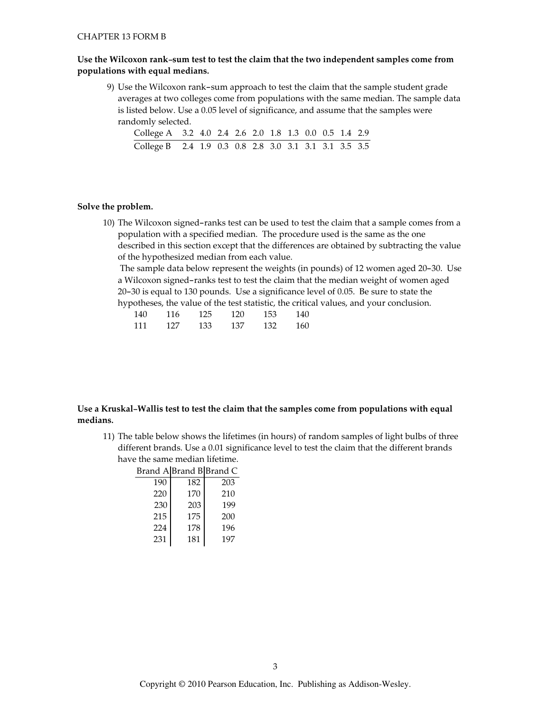## Use the Wilcoxon rank-sum test to test the claim that the two independent samples come from populations with equal medians.

9) Use the Wilcoxon rank-sum approach to test the claim that the sample student grade averages at two colleges come from populations with the same median. The sample data is listed below. Use a 0.05 level of significance, and assume that the samples were randomly selected.

| College A 3.2 4.0 2.4 2.6 2.0 1.8 1.3 0.0 0.5 1.4 2.9 |  |  |  |  |  |  |
|-------------------------------------------------------|--|--|--|--|--|--|
| College B 2.4 1.9 0.3 0.8 2.8 3.0 3.1 3.1 3.1 3.5 3.5 |  |  |  |  |  |  |

## Solve the problem.

10) The Wilcoxon signed-ranks test can be used to test the claim that a sample comes from a population with a specified median. The procedure used is the same as the one described in this section except that the differences are obtained by subtracting the value of the hypothesized median from each value.

The sample data below represent the weights (in pounds) of 12 women aged 20-30. Use a Wilcoxon signed-ranks test to test the claim that the median weight of women aged 20-30 is equal to 130 pounds. Use a significance level of 0.05. Be sure to state the hypotheses, the value of the test statistic, the critical values, and your conclusion.

| 140 | 116 | 125  | 120 | 153 | 140 |
|-----|-----|------|-----|-----|-----|
| 111 | 127 | 133- | 137 | 132 | 160 |

## Use a Kruskal-Wallis test to test the claim that the samples come from populations with equal medians.

11) The table below shows the lifetimes (in hours) of random samples of light bulbs of three different brands. Use a 0.01 significance level to test the claim that the different brands have the same median lifetime.

| Brand A Brand B Brand C |     |     |
|-------------------------|-----|-----|
| 190                     | 182 | 203 |
| 220                     | 170 | 210 |
| 230                     | 203 | 199 |
| 215                     | 175 | 200 |
| 224                     | 178 | 196 |
| 231                     | 181 | 197 |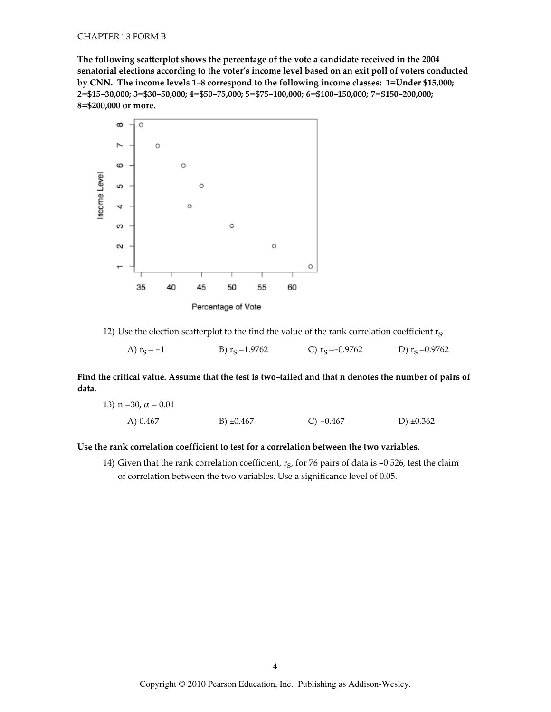The following scatterplot shows the percentage of the vote a candidate received in the 2004 senatorial elections according to the voter's income level based on an exit poll of voters conducted by CNN. The income levels 1-8 correspond to the following income classes: 1=Under \$15,000; 2=\$15-30,000; 3=\$30-50,000; 4=\$50-75,000; 5=\$75-100,000; 6=\$100-150,000; 7=\$150-200,000; 8=\$200,000 or more.



Percentage of Vote

12) Use the election scatterplot to the find the value of the rank correlation coefficient  $r_{S}$ .

A)  $r_S = -1$ B)  $r_S = 1.9762$ C)  $r_S = -0.9762$ D)  $r_s = 0.9762$ 

Find the critical value. Assume that the test is two-tailed and that n denotes the number of pairs of data.

13) n = 30, 
$$
\alpha
$$
 = 0.01  
A) 0.467  
B) ±0.467  
C) -0.467  
D) ±0.362

#### Use the rank correlation coefficient to test for a correlation between the two variables.

14) Given that the rank correlation coefficient,  $r<sub>s</sub>$ , for 76 pairs of data is -0.526, test the claim of correlation between the two variables. Use a significance level of 0.05.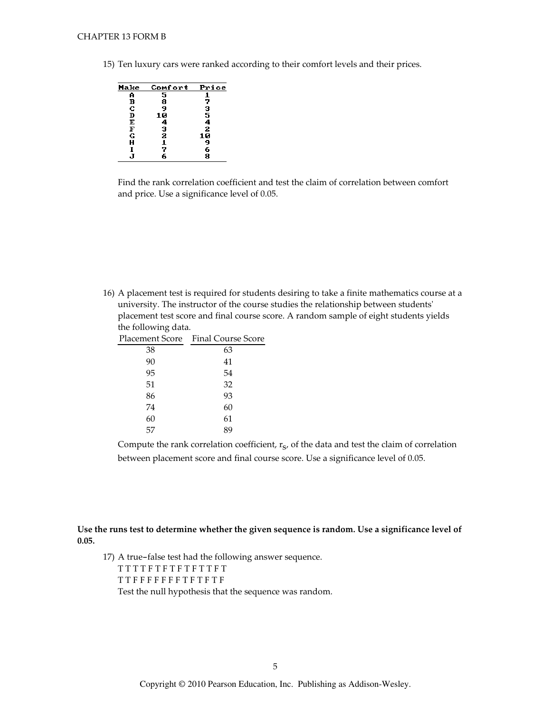15) Ten luxury cars were ranked according to their comfort levels and their prices.



Find the rank correlation coefficient and test the claim of correlation between comfort and price. Use a significance level of 0.05.

16) A placement test is required for students desiring to take a finite mathematics course at a university. The instructor of the course studies the relationship between students' placement test score and final course score. A random sample of eight students yields the following data.

|    | Placement Score – Final Course Score |
|----|--------------------------------------|
| 38 | 63                                   |
| 90 | 41                                   |
| 95 | 54                                   |
| 51 | 32                                   |
| 86 | 93                                   |
| 74 | 60                                   |
| 60 | 61                                   |
| 57 | 89                                   |

Compute the rank correlation coefficient, r<sub>s</sub>, of the data and test the claim of correlation between placement score and final course score. Use a significance level of 0.05.

Use the runs test to determine whether the given sequence is random. Use a significance level of  $0.05.$ 

17) A true-false test had the following answer sequence. TTTTFTFTFTFTTFT  $\begin{array}{cccccccccc} T\, T\, F\, F\, F\, F\, F\, F\, F\, F\, F\, F\, T\, F\, T\, F\, T\, F\, T\, F\end{array}$ Test the null hypothesis that the sequence was random.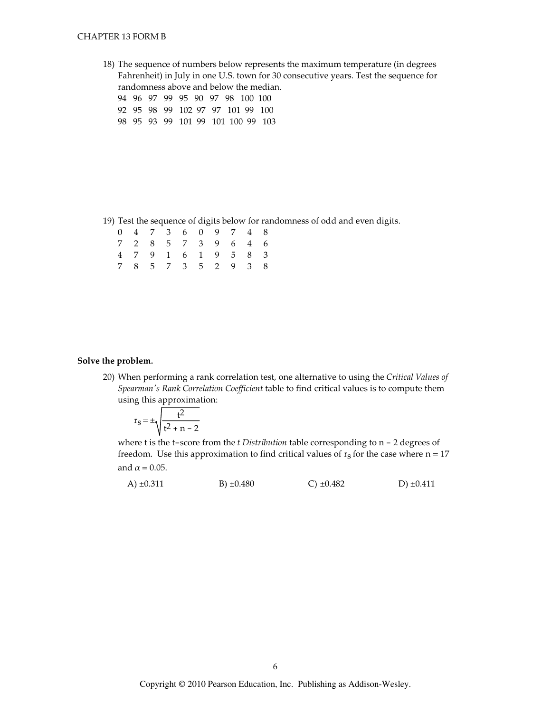### **CHAPTER 13 FORM B**

18) The sequence of numbers below represents the maximum temperature (in degrees Fahrenheit) in July in one U.S. town for 30 consecutive years. Test the sequence for randomness above and below the median.

94 96 97 99 95 90 97 98 100 100

- 92 95 98 99 102 97 97 101 99 100
- 98 95 93 99 101 99 101 100 99 103

19) Test the sequence of digits below for randomness of odd and even digits.

|  |  |  |  | 0 4 7 3 6 0 9 7 4 8 |  |
|--|--|--|--|---------------------|--|
|  |  |  |  | 7 2 8 5 7 3 9 6 4 6 |  |
|  |  |  |  | 4 7 9 1 6 1 9 5 8 3 |  |
|  |  |  |  | 7 8 5 7 3 5 2 9 3 8 |  |

#### Solve the problem.

20) When performing a rank correlation test, one alternative to using the Critical Values of Spearman's Rank Correlation Coefficient table to find critical values is to compute them using this approximation:

$$
r_S = \pm \sqrt{\frac{t^2}{t^2 + n - 2}}
$$

where t is the t-score from the *t Distribution* table corresponding to  $n - 2$  degrees of freedom. Use this approximation to find critical values of  $r_s$  for the case where  $n = 17$ and  $\alpha$  = 0.05.

| A) $\pm 0.311$ | B) $\pm 0.480$ | $C) \pm 0.482$ | $D) \pm 0.411$ |
|----------------|----------------|----------------|----------------|
|----------------|----------------|----------------|----------------|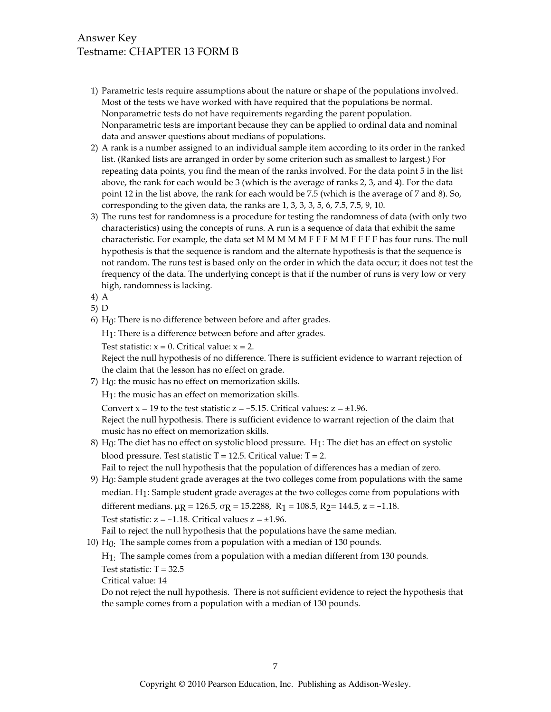# Answer Key Testname: CHAPTER 13 FORM B

- 1) Parametric tests require assumptions about the nature or shape of the populations involved. Most of the tests we have worked with have required that the populations be normal. Nonparametric tests do not have requirements regarding the parent population. Nonparametric tests are important because they can be applied to ordinal data and nominal data and answer questions about medians of populations.
- 2) A rank is a number assigned to an individual sample item according to its order in the ranked list. (Ranked lists are arranged in order by some criterion such as smallest to largest.) For repeating data points, you find the mean of the ranks involved. For the data point 5 in the list above, the rank for each would be 3 (which is the average of ranks 2, 3, and 4). For the data point 12 in the list above, the rank for each would be 7.5 (which is the average of 7 and 8). So, corresponding to the given data, the ranks are  $1, 3, 3, 3, 5, 6, 7.5, 7.5, 9, 10.$
- 3) The runs test for randomness is a procedure for testing the randomness of data (with only two characteristics) using the concepts of runs. A run is a sequence of data that exhibit the same characteristic. For example, the data set M M M M M F F F M M F F F F has four runs. The null hypothesis is that the sequence is random and the alternate hypothesis is that the sequence is not random. The runs test is based only on the order in which the data occur; it does not test the frequency of the data. The underlying concept is that if the number of runs is very low or very high, randomness is lacking.
- $4)$  A
- $5) D$
- $6)$  H<sub>0</sub>: There is no difference between before and after grades.

 $H_1$ : There is a difference between before and after grades.

Test statistic:  $x = 0$ . Critical value:  $x = 2$ .

Reject the null hypothesis of no difference. There is sufficient evidence to warrant rejection of the claim that the lesson has no effect on grade.

7)  $H_0$ : the music has no effect on memorization skills.

 $H_1$ : the music has an effect on memorization skills.

Convert  $x = 19$  to the test statistic  $z = -5.15$ . Critical values:  $z = \pm 1.96$ .

Reject the null hypothesis. There is sufficient evidence to warrant rejection of the claim that music has no effect on memorization skills.

- 8)  $H_0$ : The diet has no effect on systolic blood pressure.  $H_1$ : The diet has an effect on systolic blood pressure. Test statistic  $T = 12.5$ . Critical value:  $T = 2$ . Fail to reject the null hypothesis that the population of differences has a median of zero.
- 9) H<sub>0</sub>: Sample student grade averages at the two colleges come from populations with the same median. H<sub>1</sub>: Sample student grade averages at the two colleges come from populations with different medians.  $\mu$ g = 126.5,  $\sigma$ g = 15.2288, R<sub>1</sub> = 108.5, R<sub>2</sub> = 144.5, z = -1.18. Test statistic:  $z = -1.18$ . Critical values  $z = \pm 1.96$ .

Fail to reject the null hypothesis that the populations have the same median.

10)  $H_0$ : The sample comes from a population with a median of 130 pounds.

 $H_1$ : The sample comes from a population with a median different from 130 pounds.

Test statistic:  $T = 32.5$ 

Critical value: 14

Do not reject the null hypothesis. There is not sufficient evidence to reject the hypothesis that the sample comes from a population with a median of 130 pounds.